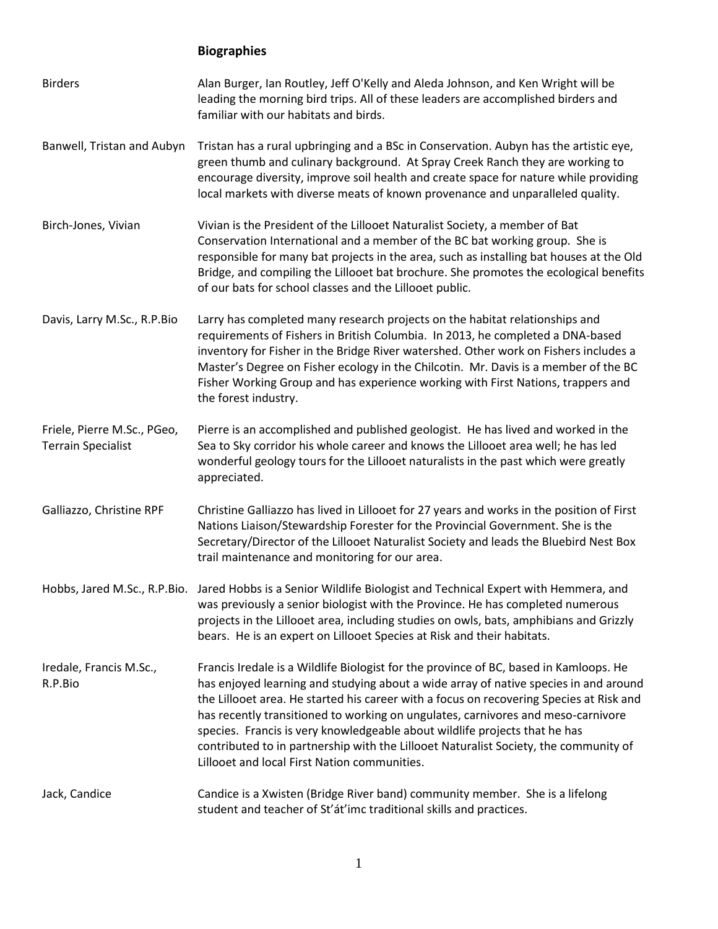## **Biographies**

| <b>Birders</b>                                           | Alan Burger, Ian Routley, Jeff O'Kelly and Aleda Johnson, and Ken Wright will be<br>leading the morning bird trips. All of these leaders are accomplished birders and<br>familiar with our habitats and birds.                                                                                                                                                                                                                                                                                                                                                                     |
|----------------------------------------------------------|------------------------------------------------------------------------------------------------------------------------------------------------------------------------------------------------------------------------------------------------------------------------------------------------------------------------------------------------------------------------------------------------------------------------------------------------------------------------------------------------------------------------------------------------------------------------------------|
| Banwell, Tristan and Aubyn                               | Tristan has a rural upbringing and a BSc in Conservation. Aubyn has the artistic eye,<br>green thumb and culinary background. At Spray Creek Ranch they are working to<br>encourage diversity, improve soil health and create space for nature while providing<br>local markets with diverse meats of known provenance and unparalleled quality.                                                                                                                                                                                                                                   |
| Birch-Jones, Vivian                                      | Vivian is the President of the Lillooet Naturalist Society, a member of Bat<br>Conservation International and a member of the BC bat working group. She is<br>responsible for many bat projects in the area, such as installing bat houses at the Old<br>Bridge, and compiling the Lillooet bat brochure. She promotes the ecological benefits<br>of our bats for school classes and the Lillooet public.                                                                                                                                                                          |
| Davis, Larry M.Sc., R.P.Bio                              | Larry has completed many research projects on the habitat relationships and<br>requirements of Fishers in British Columbia. In 2013, he completed a DNA-based<br>inventory for Fisher in the Bridge River watershed. Other work on Fishers includes a<br>Master's Degree on Fisher ecology in the Chilcotin. Mr. Davis is a member of the BC<br>Fisher Working Group and has experience working with First Nations, trappers and<br>the forest industry.                                                                                                                           |
| Friele, Pierre M.Sc., PGeo,<br><b>Terrain Specialist</b> | Pierre is an accomplished and published geologist. He has lived and worked in the<br>Sea to Sky corridor his whole career and knows the Lillooet area well; he has led<br>wonderful geology tours for the Lillooet naturalists in the past which were greatly<br>appreciated.                                                                                                                                                                                                                                                                                                      |
| Galliazzo, Christine RPF                                 | Christine Galliazzo has lived in Lillooet for 27 years and works in the position of First<br>Nations Liaison/Stewardship Forester for the Provincial Government. She is the<br>Secretary/Director of the Lillooet Naturalist Society and leads the Bluebird Nest Box<br>trail maintenance and monitoring for our area.                                                                                                                                                                                                                                                             |
|                                                          | Hobbs, Jared M.Sc., R.P.Bio. Jared Hobbs is a Senior Wildlife Biologist and Technical Expert with Hemmera, and<br>was previously a senior biologist with the Province. He has completed numerous<br>projects in the Lillooet area, including studies on owls, bats, amphibians and Grizzly<br>bears. He is an expert on Lillooet Species at Risk and their habitats.                                                                                                                                                                                                               |
| Iredale, Francis M.Sc.,<br>R.P.Bio                       | Francis Iredale is a Wildlife Biologist for the province of BC, based in Kamloops. He<br>has enjoyed learning and studying about a wide array of native species in and around<br>the Lillooet area. He started his career with a focus on recovering Species at Risk and<br>has recently transitioned to working on ungulates, carnivores and meso-carnivore<br>species. Francis is very knowledgeable about wildlife projects that he has<br>contributed to in partnership with the Lillooet Naturalist Society, the community of<br>Lillooet and local First Nation communities. |
| Jack, Candice                                            | Candice is a Xwisten (Bridge River band) community member. She is a lifelong<br>student and teacher of St'át'imc traditional skills and practices.                                                                                                                                                                                                                                                                                                                                                                                                                                 |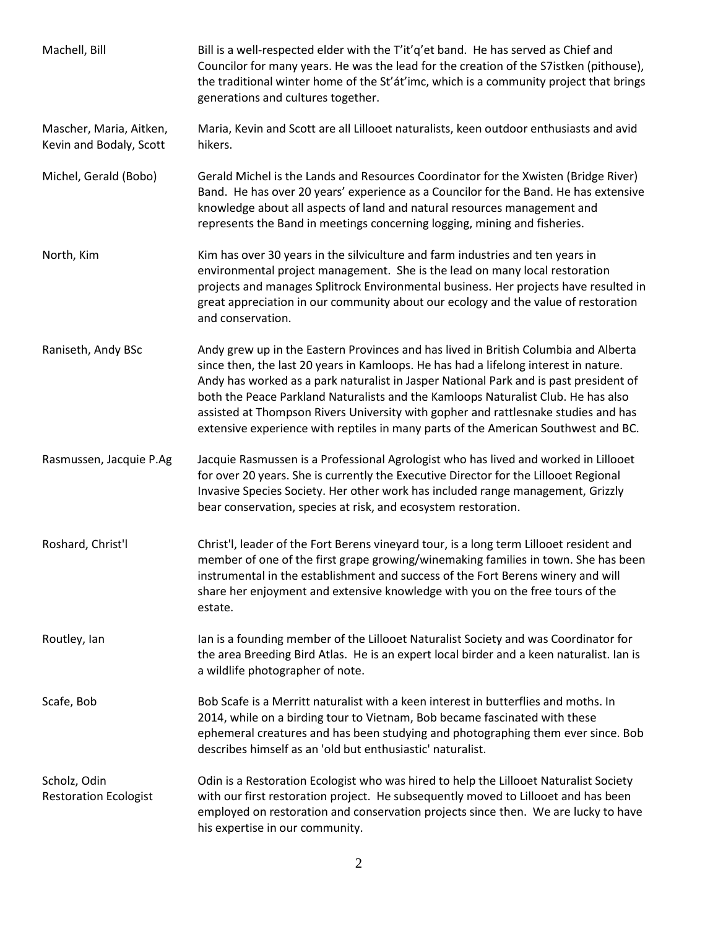| Machell, Bill                                      | Bill is a well-respected elder with the T'it'q'et band. He has served as Chief and<br>Councilor for many years. He was the lead for the creation of the S7istken (pithouse),<br>the traditional winter home of the St'at'imc, which is a community project that brings<br>generations and cultures together.                                                                                                                                                                                                                          |
|----------------------------------------------------|---------------------------------------------------------------------------------------------------------------------------------------------------------------------------------------------------------------------------------------------------------------------------------------------------------------------------------------------------------------------------------------------------------------------------------------------------------------------------------------------------------------------------------------|
| Mascher, Maria, Aitken,<br>Kevin and Bodaly, Scott | Maria, Kevin and Scott are all Lillooet naturalists, keen outdoor enthusiasts and avid<br>hikers.                                                                                                                                                                                                                                                                                                                                                                                                                                     |
| Michel, Gerald (Bobo)                              | Gerald Michel is the Lands and Resources Coordinator for the Xwisten (Bridge River)<br>Band. He has over 20 years' experience as a Councilor for the Band. He has extensive<br>knowledge about all aspects of land and natural resources management and<br>represents the Band in meetings concerning logging, mining and fisheries.                                                                                                                                                                                                  |
| North, Kim                                         | Kim has over 30 years in the silviculture and farm industries and ten years in<br>environmental project management. She is the lead on many local restoration<br>projects and manages Splitrock Environmental business. Her projects have resulted in<br>great appreciation in our community about our ecology and the value of restoration<br>and conservation.                                                                                                                                                                      |
| Raniseth, Andy BSc                                 | Andy grew up in the Eastern Provinces and has lived in British Columbia and Alberta<br>since then, the last 20 years in Kamloops. He has had a lifelong interest in nature.<br>Andy has worked as a park naturalist in Jasper National Park and is past president of<br>both the Peace Parkland Naturalists and the Kamloops Naturalist Club. He has also<br>assisted at Thompson Rivers University with gopher and rattlesnake studies and has<br>extensive experience with reptiles in many parts of the American Southwest and BC. |
| Rasmussen, Jacquie P.Ag                            | Jacquie Rasmussen is a Professional Agrologist who has lived and worked in Lillooet<br>for over 20 years. She is currently the Executive Director for the Lillooet Regional<br>Invasive Species Society. Her other work has included range management, Grizzly<br>bear conservation, species at risk, and ecosystem restoration.                                                                                                                                                                                                      |
| Roshard, Christ'l                                  | Christ'l, leader of the Fort Berens vineyard tour, is a long term Lillooet resident and<br>member of one of the first grape growing/winemaking families in town. She has been<br>instrumental in the establishment and success of the Fort Berens winery and will<br>share her enjoyment and extensive knowledge with you on the free tours of the<br>estate.                                                                                                                                                                         |
| Routley, Ian                                       | Ian is a founding member of the Lillooet Naturalist Society and was Coordinator for<br>the area Breeding Bird Atlas. He is an expert local birder and a keen naturalist. Ian is<br>a wildlife photographer of note.                                                                                                                                                                                                                                                                                                                   |
| Scafe, Bob                                         | Bob Scafe is a Merritt naturalist with a keen interest in butterflies and moths. In<br>2014, while on a birding tour to Vietnam, Bob became fascinated with these<br>ephemeral creatures and has been studying and photographing them ever since. Bob<br>describes himself as an 'old but enthusiastic' naturalist.                                                                                                                                                                                                                   |
| Scholz, Odin<br><b>Restoration Ecologist</b>       | Odin is a Restoration Ecologist who was hired to help the Lillooet Naturalist Society<br>with our first restoration project. He subsequently moved to Lillooet and has been<br>employed on restoration and conservation projects since then. We are lucky to have<br>his expertise in our community.                                                                                                                                                                                                                                  |